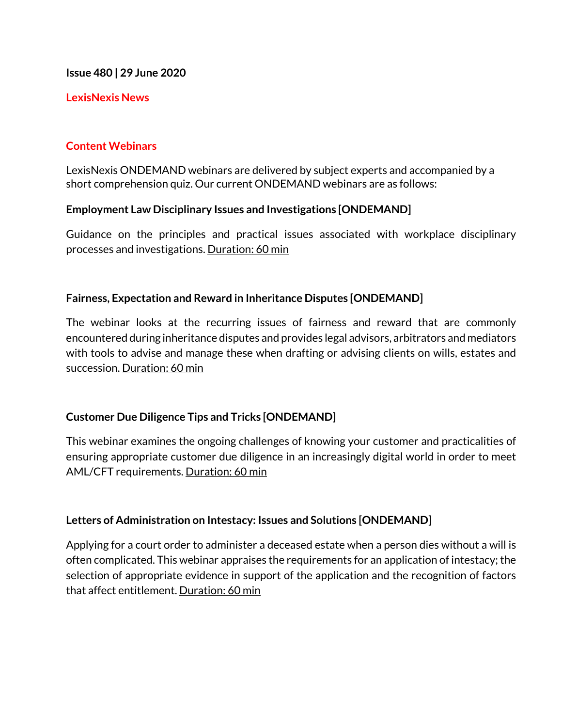**Issue 480 | 29 June 2020**

## **LexisNexis News**

## **Content Webinars**

LexisNexis ONDEMAND webinars are delivered by subject experts and accompanied by a short comprehension quiz. Our current ONDEMAND webinars are as follows:

## **Employment Law Disciplinary Issues and Investigations [ONDEMAND]**

Guidance on the principles and practical issues associated with workplace disciplinary processes and investigations. Duration: 60 min

## **Fairness, Expectation and Reward in Inheritance Disputes [ONDEMAND]**

The webinar looks at the recurring issues of fairness and reward that are commonly encountered during inheritance disputes and provides legal advisors, arbitrators and mediators with tools to advise and manage these when drafting or advising clients on wills, estates and succession. Duration: 60 min

## **Customer Due Diligence Tips and Tricks [ONDEMAND]**

This webinar examines the ongoing challenges of knowing your customer and practicalities of ensuring appropriate customer due diligence in an increasingly digital world in order to meet AML/CFT requirements. Duration: 60 min

## **Letters of Administration on Intestacy: Issues and Solutions [ONDEMAND]**

Applying for a court order to administer a deceased estate when a person dies without a will is often complicated. This webinar appraises the requirements for an application of intestacy; the selection of appropriate evidence in support of the application and the recognition of factors that affect entitlement. Duration: 60 min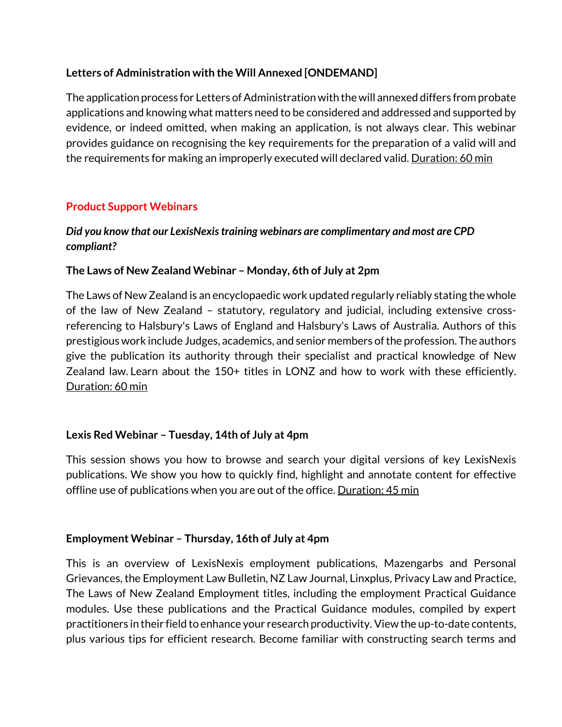# **Letters of Administration with the Will Annexed [ONDEMAND]**

The application process for Letters of Administration with the will annexed differs from probate applications and knowing what matters need to be considered and addressed and supported by evidence, or indeed omitted, when making an application, is not always clear. This webinar provides guidance on recognising the key requirements for the preparation of a valid will and the requirements for making an improperly executed will declared valid. Duration: 60 min

# **Product Support Webinars**

# *Did you know that our LexisNexis training webinars are complimentary and most are CPD compliant?*

## **The Laws of New Zealand Webinar – Monday, 6th of July at 2pm**

The Laws of New Zealand is an encyclopaedic work updated regularly reliably stating the whole of the law of New Zealand – statutory, regulatory and judicial, including extensive crossreferencing to Halsbury's Laws of England and Halsbury's Laws of Australia. Authors of this prestigious work include Judges, academics, and senior members of the profession. The authors give the publication its authority through their specialist and practical knowledge of New Zealand law. Learn about the 150+ titles in LONZ and how to work with these efficiently. Duration: 60 min

# **Lexis Red Webinar – Tuesday, 14th of July at 4pm**

This session shows you how to browse and search your digital versions of key LexisNexis publications. We show you how to quickly find, highlight and annotate content for effective offline use of publications when you are out of the office. Duration: 45 min

## **Employment Webinar – Thursday, 16th of July at 4pm**

This is an overview of LexisNexis employment publications, Mazengarbs and Personal Grievances, the Employment Law Bulletin, NZ Law Journal, Linxplus, Privacy Law and Practice, The Laws of New Zealand Employment titles, including the employment Practical Guidance modules. Use these publications and the Practical Guidance modules, compiled by expert practitioners in their field to enhance your research productivity. View the up-to-date contents, plus various tips for efficient research. Become familiar with constructing search terms and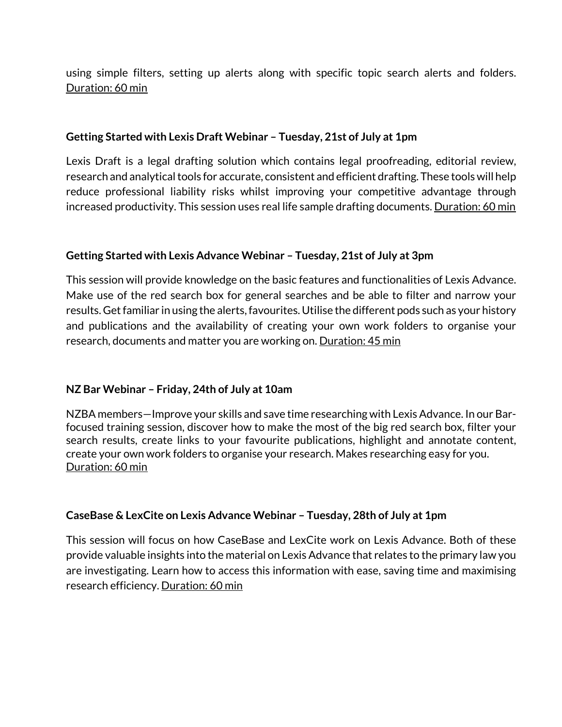using simple filters, setting up alerts along with specific topic search alerts and folders. Duration: 60 min

## **Getting Started with Lexis Draft Webinar – Tuesday, 21st of July at 1pm**

Lexis Draft is a legal drafting solution which contains legal proofreading, editorial review, research and analytical tools for accurate, consistent and efficient drafting. These tools will help reduce professional liability risks whilst improving your competitive advantage through increased productivity. This session uses real life sample drafting documents. Duration: 60 min

## **Getting Started with Lexis Advance Webinar – Tuesday, 21st of July at 3pm**

This session will provide knowledge on the basic features and functionalities of Lexis Advance. Make use of the red search box for general searches and be able to filter and narrow your results. Get familiar in using the alerts, favourites. Utilise the different pods such as your history and publications and the availability of creating your own work folders to organise your research, documents and matter you are working on. Duration: 45 min

# **NZ Bar Webinar – Friday, 24th of July at 10am**

NZBA members—Improve your skills and save time researching with Lexis Advance. In our Barfocused training session, discover how to make the most of the big red search box, filter your search results, create links to your favourite publications, highlight and annotate content, create your own work folders to organise your research. Makes researching easy for you. Duration: 60 min

## **CaseBase & LexCite on Lexis Advance Webinar – Tuesday, 28th of July at 1pm**

This session will focus on how CaseBase and LexCite work on Lexis Advance. Both of these provide valuable insights into the material on Lexis Advance that relates to the primary law you are investigating. Learn how to access this information with ease, saving time and maximising research efficiency. Duration: 60 min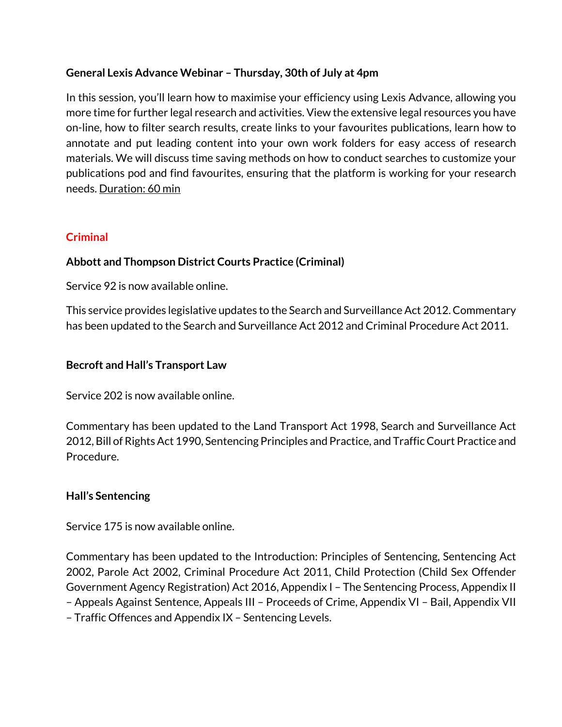# **General Lexis Advance Webinar – Thursday, 30th of July at 4pm**

In this session, you'll learn how to maximise your efficiency using Lexis Advance, allowing you more time for further legal research and activities. View the extensive legal resources you have on-line, how to filter search results, create links to your favourites publications, learn how to annotate and put leading content into your own work folders for easy access of research materials. We will discuss time saving methods on how to conduct searches to customize your publications pod and find favourites, ensuring that the platform is working for your research needs. Duration: 60 min

# **Criminal**

# **Abbott and Thompson District Courts Practice (Criminal)**

Service 92 is now available online.

This service provides legislative updates to the Search and Surveillance Act 2012. Commentary has been updated to the Search and Surveillance Act 2012 and Criminal Procedure Act 2011.

## **Becroft and Hall's Transport Law**

Service 202 is now available online.

Commentary has been updated to the Land Transport Act 1998, Search and Surveillance Act 2012, Bill of Rights Act 1990, Sentencing Principles and Practice, and Traffic Court Practice and Procedure.

## **Hall's Sentencing**

Service 175 is now available online.

Commentary has been updated to the Introduction: Principles of Sentencing, Sentencing Act 2002, Parole Act 2002, Criminal Procedure Act 2011, Child Protection (Child Sex Offender Government Agency Registration) Act 2016, Appendix I – The Sentencing Process, Appendix II – Appeals Against Sentence, Appeals III – Proceeds of Crime, Appendix VI – Bail, Appendix VII – Traffic Offences and Appendix IX – Sentencing Levels.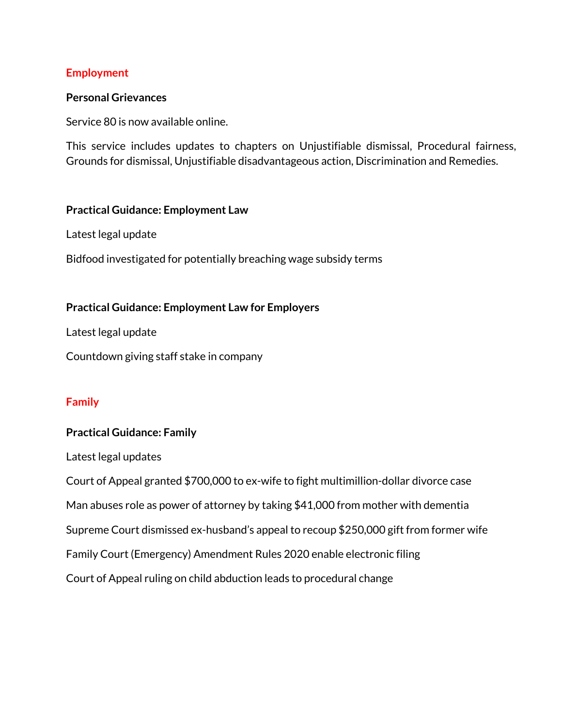### **Employment**

#### **Personal Grievances**

Service 80 is now available online.

This service includes updates to chapters on Unjustifiable dismissal, Procedural fairness, Grounds for dismissal, Unjustifiable disadvantageous action, Discrimination and Remedies.

#### **Practical Guidance: Employment Law**

Latest legal update

Bidfood investigated for potentially breaching wage subsidy terms

#### **Practical Guidance: Employment Law for Employers**

Latest legal update

Countdown giving staff stake in company

## **Family**

## **Practical Guidance: Family**

Latest legal updates

Court of Appeal granted \$700,000 to ex-wife to fight multimillion-dollar divorce case Man abuses role as power of attorney by taking \$41,000 from mother with dementia Supreme Court dismissed ex-husband's appeal to recoup \$250,000 gift from former wife Family Court (Emergency) Amendment Rules 2020 enable electronic filing Court of Appeal ruling on child abduction leads to procedural change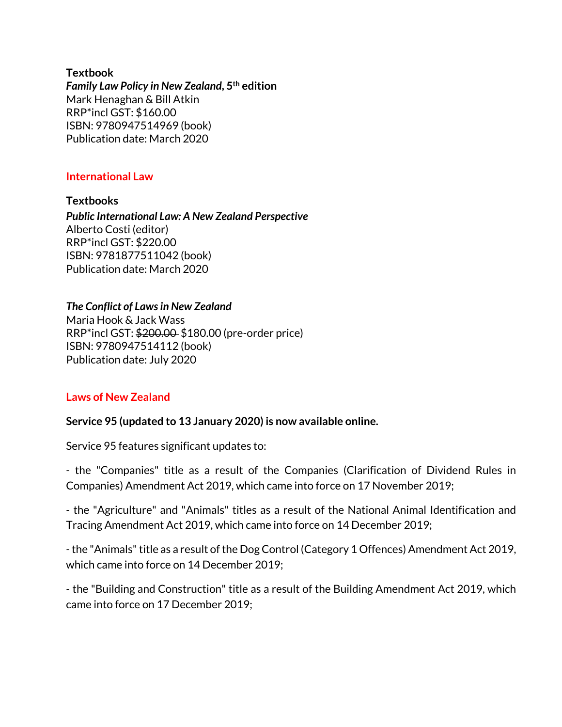**Textbook** *Family Law Policy in New Zealand***, 5th edition** Mark Henaghan & Bill Atkin RRP\*incl GST: \$160.00 ISBN: 9780947514969 (book) Publication date: March 2020

## **International Law**

**Textbooks** *Public International Law: A New Zealand Perspective*  Alberto Costi (editor) RRP\*incl GST: \$220.00 ISBN: 9781877511042 (book) Publication date: March 2020

# *The Conflict of Laws in New Zealand*

Maria Hook & Jack Wass RRP\*incl GST: \$200.00 \$180.00 (pre-order price) ISBN: 9780947514112 (book) Publication date: July 2020

## **Laws of New Zealand**

## **Service 95 (updated to 13 January 2020) is now available online.**

Service 95 features significant updates to:

- the "Companies" title as a result of the Companies (Clarification of Dividend Rules in Companies) Amendment Act 2019, which came into force on 17 November 2019;

- the "Agriculture" and "Animals" titles as a result of the National Animal Identification and Tracing Amendment Act 2019, which came into force on 14 December 2019;

-the "Animals" title as a result of the Dog Control (Category 1 Offences) Amendment Act 2019, which came into force on 14 December 2019;

- the "Building and Construction" title as a result of the Building Amendment Act 2019, which came into force on 17 December 2019;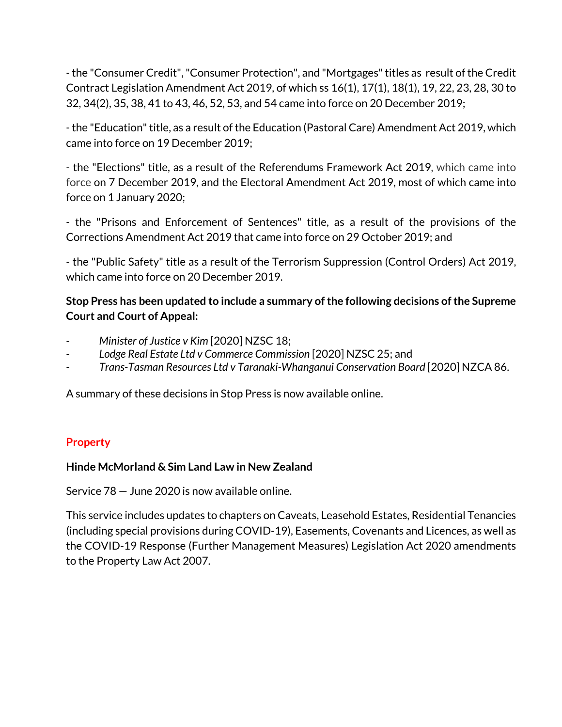-the "Consumer Credit", "Consumer Protection", and "Mortgages" titles as result of the Credit Contract Legislation Amendment Act 2019, of which ss 16(1), 17(1), 18(1), 19, 22, 23, 28, 30 to 32, 34(2), 35, 38, 41 to 43, 46, 52, 53, and 54 came into force on 20 December 2019;

-the "Education" title, as a result of the Education (Pastoral Care) Amendment Act 2019, which came into force on 19 December 2019;

- the "Elections" title, as a result of the Referendums Framework Act 2019, which came into force on 7 December 2019, and the Electoral Amendment Act 2019, most of which came into force on 1 January 2020;

- the "Prisons and Enforcement of Sentences" title, as a result of the provisions of the Corrections Amendment Act 2019 that came into force on 29 October 2019; and

- the "Public Safety" title as a result of the Terrorism Suppression (Control Orders) Act 2019, which came into force on 20 December 2019.

# **Stop Press has been updated to include a summary of the following decisions of the Supreme Court and Court of Appeal:**

- *Minister of Justice v Kim* [2020] NZSC 18;
- *Lodge Real Estate Ltd v Commerce Commission* [2020] NZSC 25; and
- *Trans-Tasman Resources Ltd v Taranaki-Whanganui Conservation Board* [2020] NZCA 86.

A summary of these decisions in Stop Press is now available online.

## **Property**

## **Hinde McMorland & Sim Land Law in New Zealand**

Service 78 — June 2020 is now available online.

This service includes updates to chapters on Caveats, Leasehold Estates, Residential Tenancies (including special provisions during COVID-19), Easements, Covenants and Licences, as well as the COVID-19 Response (Further Management Measures) Legislation Act 2020 amendments to the Property Law Act 2007.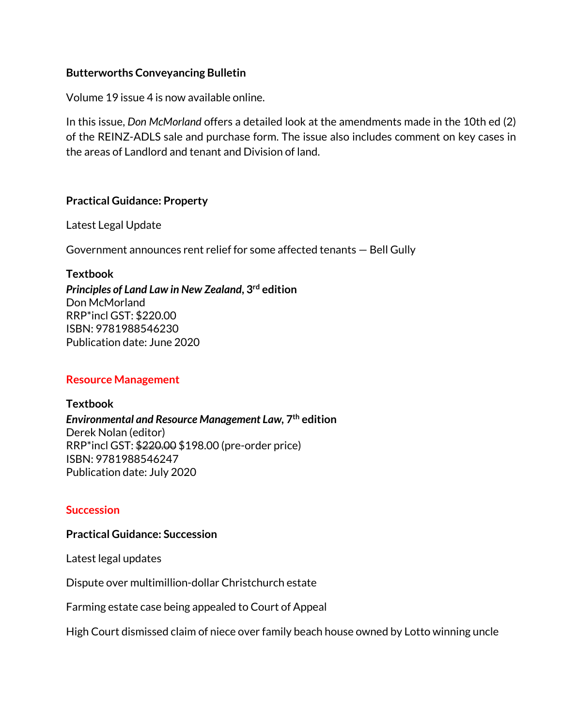#### **Butterworths Conveyancing Bulletin**

Volume 19 issue 4 is now available online.

In this issue, *Don McMorland* offers a detailed look at the amendments made in the 10th ed (2) of the REINZ-ADLS sale and purchase form. The issue also includes comment on key cases in the areas of Landlord and tenant and Division of land.

#### **Practical Guidance: Property**

Latest Legal Update

Government announces rent relief for some affected tenants — Bell Gully

#### **Textbook**

*Principles of Land Law in New Zealand***, 3rd edition** Don McMorland RRP\*incl GST: \$220.00 ISBN: 9781988546230 Publication date: June 2020

## **Resource Management**

**Textbook** *Environmental and Resource Management Law,* **7th edition** Derek Nolan (editor) RRP\*incl GST: \$220.00 \$198.00 (pre-order price) ISBN: 9781988546247 Publication date: July 2020

## **Succession**

#### **Practical Guidance: Succession**

Latest legal updates

Dispute over multimillion-dollar Christchurch estate

Farming estate case being appealed to Court of Appeal

High Court dismissed claim of niece over family beach house owned by Lotto winning uncle